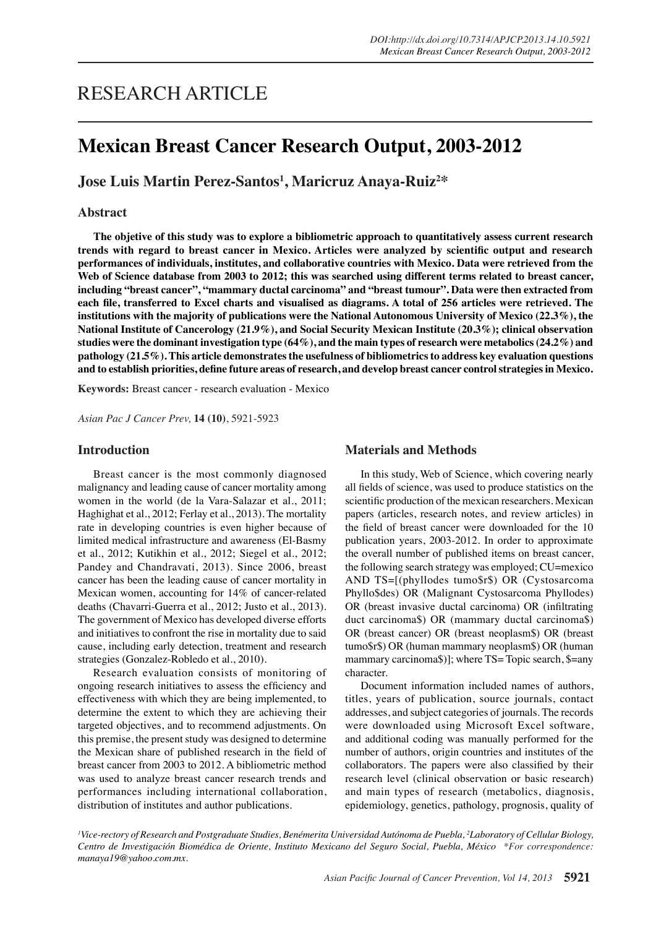# RESEARCH ARTICLE

## **Mexican Breast Cancer Research Output, 2003-2012**

**Jose Luis Martin Perez-Santos1 , Maricruz Anaya-Ruiz2 \***

#### **Abstract**

**The objetive of this study was to explore a bibliometric approach to quantitatively assess current research trends with regard to breast cancer in Mexico. Articles were analyzed by scientific output and research performances of individuals, institutes, and collaborative countries with Mexico. Data were retrieved from the Web of Science database from 2003 to 2012; this was searched using different terms related to breast cancer, including "breast cancer", "mammary ductal carcinoma" and "breast tumour". Data were then extracted from each file, transferred to Excel charts and visualised as diagrams. A total of 256 articles were retrieved. The institutions with the majority of publications were the National Autonomous University of Mexico (22.3%), the National Institute of Cancerology (21.9%), and Social Security Mexican Institute (20.3%); clinical observation studies were the dominant investigation type (64%), and the main types of research were metabolics (24.2%) and pathology (21.5%). This article demonstrates the usefulness of bibliometrics to address key evaluation questions and to establish priorities, define future areas of research, and develop breast cancer control strategies in Mexico.**

**Keywords:** Breast cancer - research evaluation - Mexico

*Asian Pac J Cancer Prev,* **14 (10)**, 5921-5923

#### **Introduction**

Breast cancer is the most commonly diagnosed malignancy and leading cause of cancer mortality among women in the world (de la Vara-Salazar et al., 2011; Haghighat et al., 2012; Ferlay et al., 2013). The mortality rate in developing countries is even higher because of limited medical infrastructure and awareness (El-Basmy et al., 2012; Kutikhin et al., 2012; Siegel et al., 2012; Pandey and Chandravati, 2013). Since 2006, breast cancer has been the leading cause of cancer mortality in Mexican women, accounting for 14% of cancer-related deaths (Chavarri-Guerra et al., 2012; Justo et al., 2013). The government of Mexico has developed diverse efforts and initiatives to confront the rise in mortality due to said cause, including early detection, treatment and research strategies (Gonzalez-Robledo et al., 2010).

Research evaluation consists of monitoring of ongoing research initiatives to assess the efficiency and effectiveness with which they are being implemented, to determine the extent to which they are achieving their targeted objectives, and to recommend adjustments. On this premise, the present study was designed to determine the Mexican share of published research in the field of breast cancer from 2003 to 2012. A bibliometric method was used to analyze breast cancer research trends and performances including international collaboration, distribution of institutes and author publications.

#### **Materials and Methods**

In this study, Web of Science, which covering nearly all fields of science, was used to produce statistics on the scientific production of the mexican researchers. Mexican papers (articles, research notes, and review articles) in the field of breast cancer were downloaded for the 10 publication years, 2003-2012. In order to approximate the overall number of published items on breast cancer, the following search strategy was employed; CU=mexico AND TS=[(phyllodes tumo\$r\$) OR (Cystosarcoma Phyllo\$des) OR (Malignant Cystosarcoma Phyllodes) OR (breast invasive ductal carcinoma) OR (infiltrating duct carcinoma\$) OR (mammary ductal carcinoma\$) OR (breast cancer) OR (breast neoplasm\$) OR (breast tumo\$r\$) OR (human mammary neoplasm\$) OR (human mammary carcinoma\$)]; where TS= Topic search, \$=any character.

Document information included names of authors, titles, years of publication, source journals, contact addresses, and subject categories of journals. The records were downloaded using Microsoft Excel software, and additional coding was manually performed for the number of authors, origin countries and institutes of the collaborators. The papers were also classified by their research level (clinical observation or basic research) and main types of research (metabolics, diagnosis, epidemiology, genetics, pathology, prognosis, quality of

*1 Vice-rectory of Research and Postgraduate Studies, Benémerita Universidad Autónoma de Puebla, 2 Laboratory of Cellular Biology, Centro de Investigación Biomédica de Oriente, Instituto Mexicano del Seguro Social, Puebla, México \*For correspondence: manaya19@yahoo.com.mx.*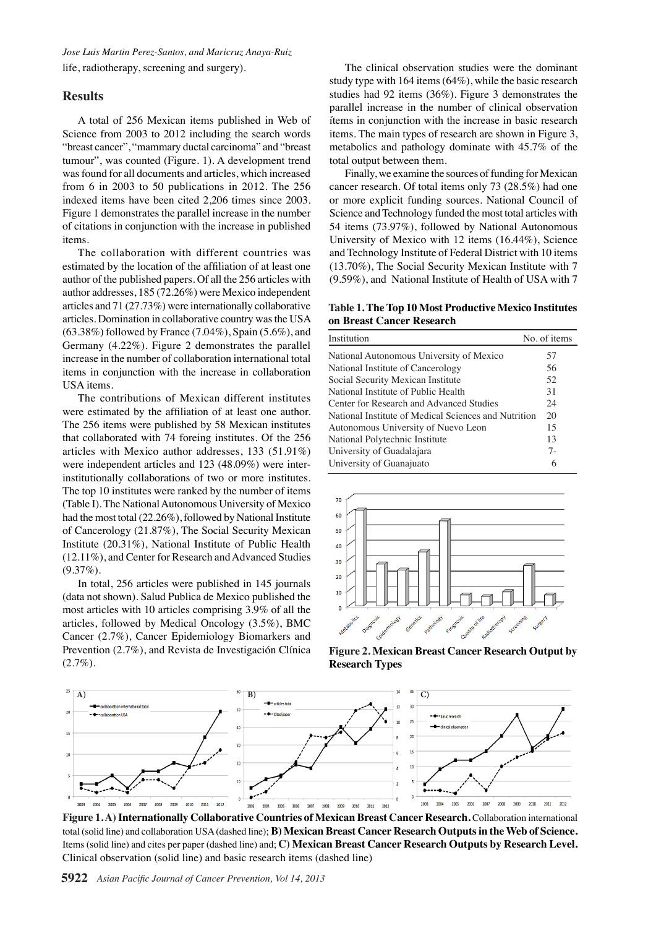*Jose Luis Martin Perez-Santos, and Maricruz Anaya-Ruiz* life, radiotherapy, screening and surgery).

## **Results**

A total of 256 Mexican items published in Web of Science from 2003 to 2012 including the search words "breast cancer", "mammary ductal carcinoma" and "breast tumour", was counted (Figure. 1). A development trend was found for all documents and articles, which increased from 6 in 2003 to 50 publications in 2012. The 256 indexed items have been cited 2,206 times since 2003. Figure 1 demonstrates the parallel increase in the number of citations in conjunction with the increase in published items.

The collaboration with different countries was estimated by the location of the affiliation of at least one author of the published papers. Of all the 256 articles with author addresses, 185 (72.26%) were Mexico independent articles and 71 (27.73%) were internationally collaborative articles. Domination in collaborative country was the USA (63.38%) followed by France (7.04%), Spain (5.6%), and Germany (4.22%). Figure 2 demonstrates the parallel increase in the number of collaboration international total items in conjunction with the increase in collaboration USA items.

The contributions of Mexican different institutes were estimated by the affiliation of at least one author. The 256 items were published by 58 Mexican institutes that collaborated with 74 foreing institutes. Of the 256 articles with Mexico author addresses, 133 (51.91%) were independent articles and 123 (48.09%) were interinstitutionally collaborations of two or more institutes. The top 10 institutes were ranked by the number of items (Table I). The National Autonomous University of Mexico had the most total (22.26%), followed by National Institute of Cancerology (21.87%), The Social Security Mexican Institute (20.31%), National Institute of Public Health (12.11%), and Center for Research and Advanced Studies (9.37%).

In total, 256 articles were published in 145 journals (data not shown). Salud Publica de Mexico published the most articles with 10 articles comprising 3.9% of all the articles, followed by Medical Oncology (3.5%), BMC Cancer (2.7%), Cancer Epidemiology Biomarkers and Prevention (2.7%), and Revista de Investigación Clínica  $(2.7\%).$ 

The clinical observation studies were the dominant study type with 164 items (64%), while the basic research studies had 92 items (36%). Figure 3 demonstrates the parallel increase in the number of clinical observation ítems in conjunction with the increase in basic research items. The main types of research are shown in Figure 3, metabolics and pathology dominate with 45.7% of the total output between them.

Finally, we examine the sources of funding for Mexican cancer research. Of total items only 73 (28.5%) had one or more explicit funding sources. National Council of Science and Technology funded the most total articles with 54 items (73.97%), followed by National Autonomous University of Mexico with 12 items (16.44%), Science and Technology Institute of Federal District with 10 items (13.70%), The Social Security Mexican Institute with 7 (9.59%), and National Institute of Health of USA with 7

#### **Table 1. The Top 10 Most Productive Mexico Institutes on Breast Cancer Research**

| Institution                                                                                               | No. of items |       |
|-----------------------------------------------------------------------------------------------------------|--------------|-------|
| National Autonomous University of Mexico                                                                  | 57           |       |
| National Institute of Cancerology                                                                         | 56           |       |
| Social Security Mexican Institute                                                                         | 52           |       |
| National Institute of Public Health                                                                       | 31           |       |
| Center for Research and Advanced Studies                                                                  | 24           |       |
| National Institute of Medical Sciences and Nutrition                                                      | 20           |       |
| Autonomous University of Nuevo Leon                                                                       | 15           |       |
| National Polytechnic Institute                                                                            | 13           | 100.0 |
| University of Guadalajara                                                                                 | $7 -$        |       |
| University of Guanajuato                                                                                  | 6            |       |
|                                                                                                           |              | 75.0  |
| 70                                                                                                        |              |       |
| 60                                                                                                        |              |       |
| 50                                                                                                        |              | 50.0  |
| 40                                                                                                        |              |       |
| 30                                                                                                        |              |       |
| 20                                                                                                        |              | 25.0  |
| 10                                                                                                        |              |       |
| $\mathbf 0$                                                                                               |              |       |
| Genetics<br>Pathology<br>Custom of the<br>Screening<br>Metapolics<br>Livernology<br>Programs<br>Diagnosis | Surgery      | 0     |

**Figure 2. Mexican Breast Cancer Research Output by Research Types**



**Figure 1. A) Internationally Collaborative Countries of Mexican Breast Cancer Research.** Collaboration international total (solid line) and collaboration USA (dashed line); **B) Mexican Breast Cancer Research Outputs in the Web of Science.**  Items (solid line) and cites per paper (dashed line) and; **C) Mexican Breast Cancer Research Outputs by Research Level.**  Clinical observation (solid line) and basic research items (dashed line)

**5922** *Asian Pacific Journal of Cancer Prevention, Vol 14, 2013*

**20.3 6.3 10.1**